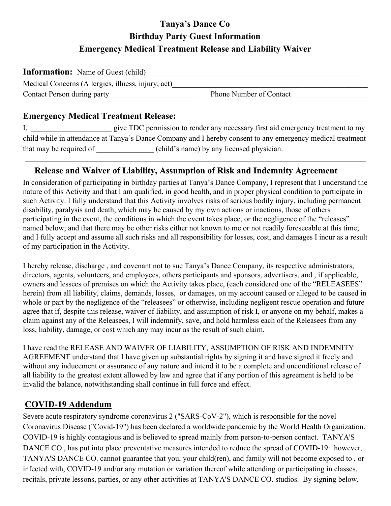# **Tanya's Dance Co Birthday Party Guest Information Emergency Medical Treatment Release and Liability Waiver**

| <b>Information:</b> Name of Guest (child)          |                                |
|----------------------------------------------------|--------------------------------|
| Medical Concerns (Allergies, illness, injury, act) |                                |
| Contact Person during party                        | <b>Phone Number of Contact</b> |

#### **Emergency Medical Treatment Release:**

I, give TDC permission to render any necessary first aid emergency treatment to my child while in attendance at Tanya's Dance Company and I hereby consent to any emergency medical treatment that may be required of  $\qquad \qquad$  (child's name) by any licensed physician.

#### **Release and Waiver of Liability, Assumption of Risk and Indemnity Agreement**

In consideration of participating in birthday parties at Tanya's Dance Company, I represent that I understand the nature of this Activity and that I am qualified, in good health, and in proper physical condition to participate in such Activity. I fully understand that this Activity involves risks of serious bodily injury, including permanent disability, paralysis and death, which may be caused by my own actions or inactions, those of others participating in the event, the conditions in which the event takes place, or the negligence of the "releases" named below; and that there may be other risks either not known to me or not readily foreseeable at this time; and I fully accept and assume all such risks and all responsibility for losses, cost, and damages I incur as a result of my participation in the Activity.

I hereby release, discharge , and covenant not to sue Tanya's Dance Company, its respective administrators, directors, agents, volunteers, and employees, others participants and sponsors, advertisers, and , if applicable, owners and lessees of premises on which the Activity takes place, (each considered one of the "RELEASEES" herein) from all liability, claims, demands, losses, or damages, on my account caused or alleged to be caused in whole or part by the negligence of the "releasees" or otherwise, including negligent rescue operation and future agree that if, despite this release, waiver of liability, and assumption of risk I, or anyone on my behalf, makes a claim against any of the Releasees, I will indemnify, save, and hold harmless each of the Releasees from any loss, liability, damage, or cost which any may incur as the result of such claim.

I have read the RELEASE AND WAIVER OF LIABILITY, ASSUMPTION OF RISK AND INDEMNITY AGREEMENT understand that I have given up substantial rights by signing it and have signed it freely and without any inducement or assurance of any nature and intend it to be a complete and unconditional release of all liability to the greatest extent allowed by law and agree that if any portion of this agreement is held to be invalid the balance, notwithstanding shall continue in full force and effect.

## **COVID-19 Addendum**

Severe acute respiratory syndrome coronavirus 2 ("SARS-CoV-2"), which is responsible for the novel Coronavirus Disease ("Covid-19") has been declared a worldwide pandemic by the World Health Organization. COVID-19 is highly contagious and is believed to spread mainly from person-to-person contact. TANYA'S DANCE CO., has put into place preventative measures intended to reduce the spread of COVID-19: however, TANYA'S DANCE CO. cannot guarantee that you, your child(ren), and family will not become exposed to , or infected with, COVID-19 and/or any mutation or variation thereof while attending or participating in classes, recitals, private lessons, parties, or any other activities at TANYA'S DANCE CO. studios. By signing below,